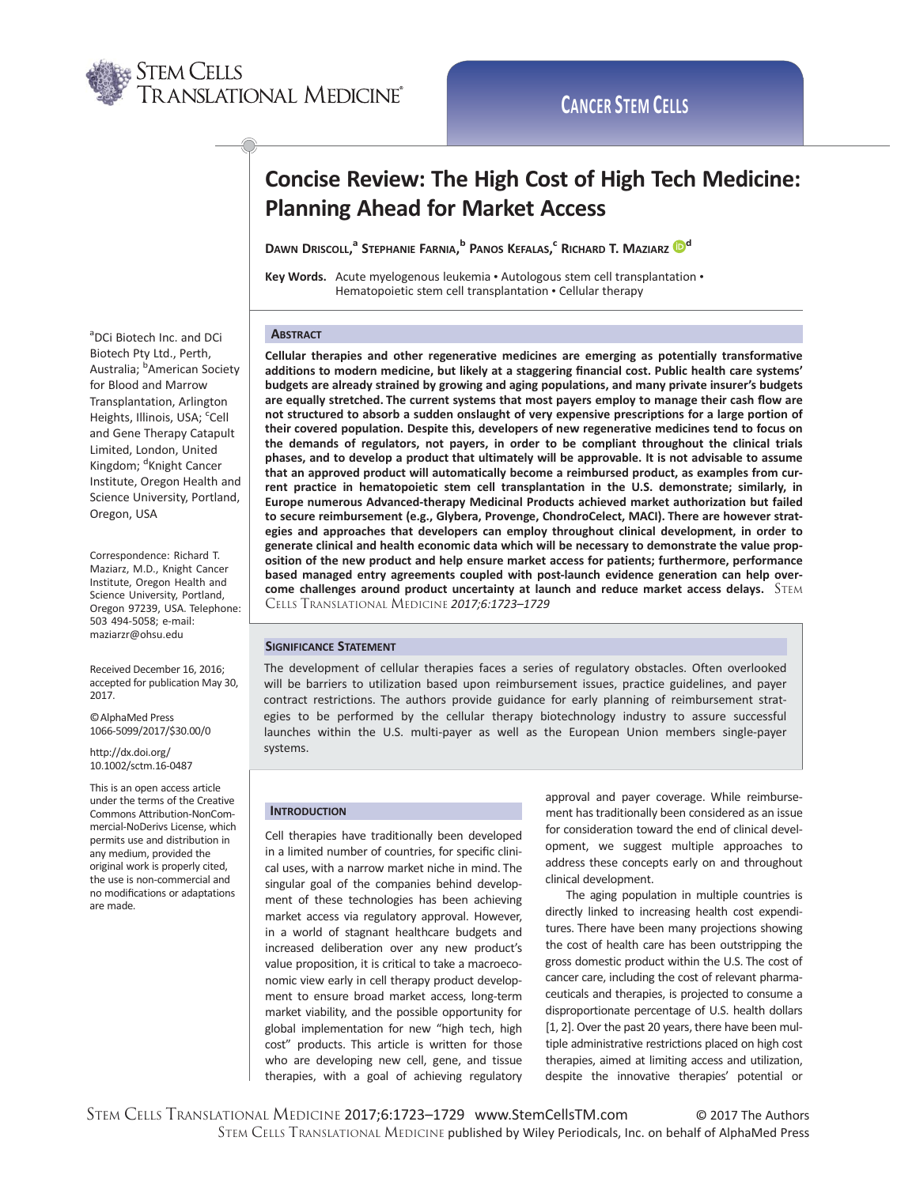

# Concise Review: The High Cost of High Tech Medicine: Planning Ahead for Market Access

Dawn Driscoll,<sup>a</sup> Stephanie Farnia,<sup>b</sup> Panos Kefalas,<sup>c</sup> Richard T. Maziarz <mark>D</mark><sup>d</sup>

Key Words. Acute myelogenous leukemia • Autologous stem cell transplantation • Hematopoietic stem cell transplantation • Cellular therapy

## **ABSTRACT**

Cellular therapies and other regenerative medicines are emerging as potentially transformative additions to modern medicine, but likely at a staggering financial cost. Public health care systems' budgets are already strained by growing and aging populations, and many private insurer's budgets are equally stretched. The current systems that most payers employ to manage their cash flow are not structured to absorb a sudden onslaught of very expensive prescriptions for a large portion of their covered population. Despite this, developers of new regenerative medicines tend to focus on the demands of regulators, not payers, in order to be compliant throughout the clinical trials phases, and to develop a product that ultimately will be approvable. It is not advisable to assume that an approved product will automatically become a reimbursed product, as examples from current practice in hematopoietic stem cell transplantation in the U.S. demonstrate; similarly, in Europe numerous Advanced-therapy Medicinal Products achieved market authorization but failed to secure reimbursement (e.g., Glybera, Provenge, ChondroCelect, MACI). There are however strategies and approaches that developers can employ throughout clinical development, in order to generate clinical and health economic data which will be necessary to demonstrate the value proposition of the new product and help ensure market access for patients; furthermore, performance based managed entry agreements coupled with post-launch evidence generation can help overcome challenges around product uncertainty at launch and reduce market access delays.  $STEM$ CELLS TRANSLATIONAL MEDICINE 2017;6:1723–1729

# SIGNIFICANCE STATEMENT

The development of cellular therapies faces a series of regulatory obstacles. Often overlooked will be barriers to utilization based upon reimbursement issues, practice guidelines, and payer contract restrictions. The authors provide guidance for early planning of reimbursement strategies to be performed by the cellular therapy biotechnology industry to assure successful launches within the U.S. multi-payer as well as the European Union members single-payer systems.

#### **INTRODUCTION**

Cell therapies have traditionally been developed in a limited number of countries, for specific clinical uses, with a narrow market niche in mind. The singular goal of the companies behind development of these technologies has been achieving market access via regulatory approval. However, in a world of stagnant healthcare budgets and increased deliberation over any new product's value proposition, it is critical to take a macroeconomic view early in cell therapy product development to ensure broad market access, long-term market viability, and the possible opportunity for global implementation for new "high tech, high cost" products. This article is written for those who are developing new cell, gene, and tissue therapies, with a goal of achieving regulatory

approval and payer coverage. While reimbursement has traditionally been considered as an issue for consideration toward the end of clinical development, we suggest multiple approaches to address these concepts early on and throughout clinical development.

The aging population in multiple countries is directly linked to increasing health cost expenditures. There have been many projections showing the cost of health care has been outstripping the gross domestic product within the U.S. The cost of cancer care, including the cost of relevant pharmaceuticals and therapies, is projected to consume a disproportionate percentage of U.S. health dollars [1, 2]. Over the past 20 years, there have been multiple administrative restrictions placed on high cost therapies, aimed at limiting access and utilization, despite the innovative therapies' potential or

<sup>a</sup>DCi Biotech Inc. and DCi Biotech Pty Ltd., Perth, Australia; <sup>b</sup>American Society for Blood and Marrow Transplantation, Arlington Heights, Illinois, USA; cell and Gene Therapy Catapult Limited, London, United Kingdom; <sup>d</sup>Knight Cancer Institute, Oregon Health and Science University, Portland, Oregon, USA

Correspondence: Richard T. Maziarz, M.D., Knight Cancer Institute, Oregon Health and Science University, Portland, Oregon 97239, USA. Telephone: 503 494-5058; e-mail: maziarzr@ohsu.edu

Received December 16, 2016; accepted for publication May 30, 2017.

Oc AlphaMed Press 1066-5099/2017/\$30.00/0

http://dx.doi.org/ 10.1002/sctm.16-0487

This is an open access article under the terms of the [Creative](http://creativecommons.org/licenses/by-nc-nd/4.0/) [Commons Attribution-NonCom](http://creativecommons.org/licenses/by-nc-nd/4.0/)[mercial-NoDerivs](http://creativecommons.org/licenses/by-nc-nd/4.0/) License, which permits use and distribution in any medium, provided the original work is properly cited, the use is non-commercial and no modifications or adaptations are made.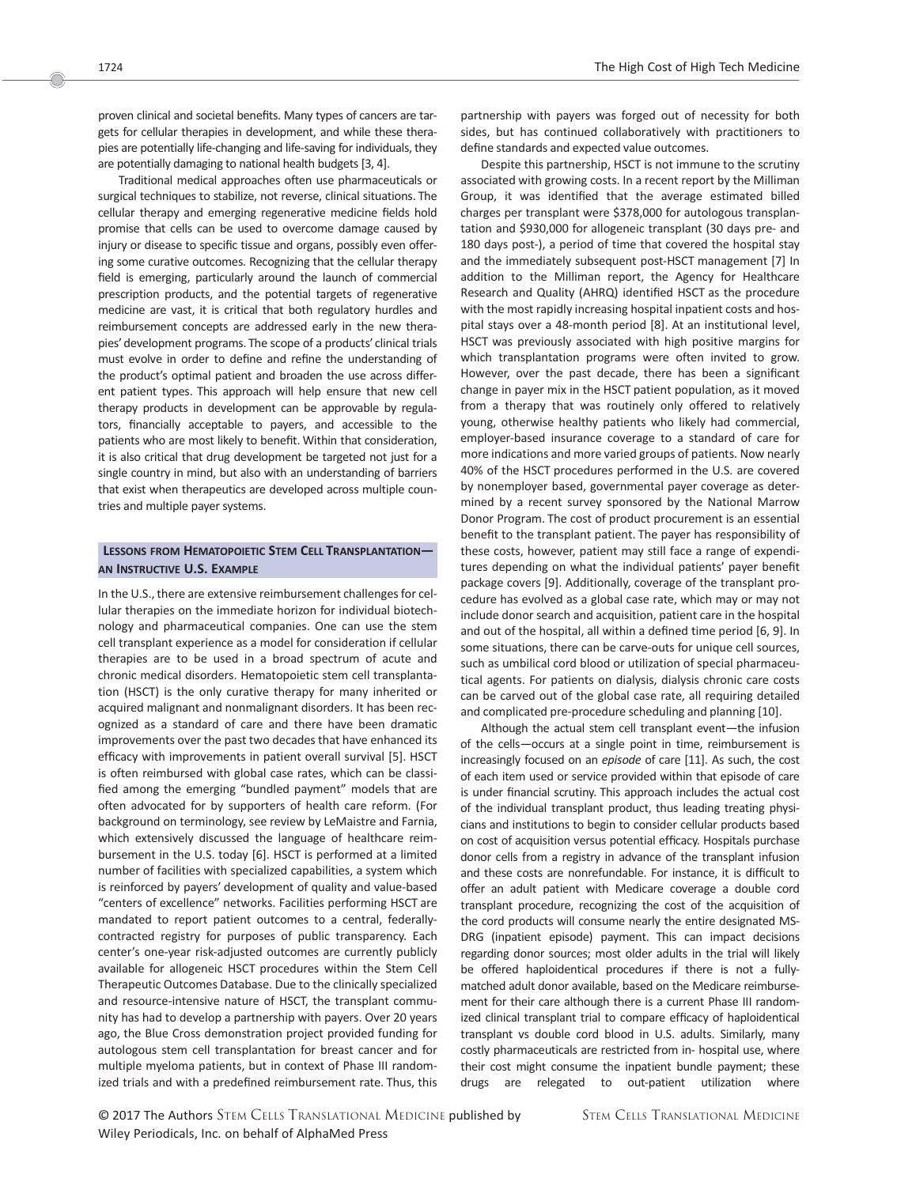proven clinical and societal benefits. Many types of cancers are targets for cellular therapies in development, and while these therapies are potentially life-changing and life-saving for individuals, they are potentially damaging to national health budgets [3, 4].

Traditional medical approaches often use pharmaceuticals or surgical techniques to stabilize, not reverse, clinical situations. The cellular therapy and emerging regenerative medicine fields hold promise that cells can be used to overcome damage caused by injury or disease to specific tissue and organs, possibly even offering some curative outcomes. Recognizing that the cellular therapy field is emerging, particularly around the launch of commercial prescription products, and the potential targets of regenerative medicine are vast, it is critical that both regulatory hurdles and reimbursement concepts are addressed early in the new therapies' development programs. The scope of a products' clinical trials must evolve in order to define and refine the understanding of the product's optimal patient and broaden the use across different patient types. This approach will help ensure that new cell therapy products in development can be approvable by regulators, financially acceptable to payers, and accessible to the patients who are most likely to benefit. Within that consideration, it is also critical that drug development be targeted not just for a single country in mind, but also with an understanding of barriers that exist when therapeutics are developed across multiple countries and multiple payer systems.

# LESSONS FROM HEMATOPOIETIC STEM CELL TRANSPLANTATION— AN INSTRUCTIVE U.S. EXAMPLE

In the U.S., there are extensive reimbursement challenges for cellular therapies on the immediate horizon for individual biotechnology and pharmaceutical companies. One can use the stem cell transplant experience as a model for consideration if cellular therapies are to be used in a broad spectrum of acute and chronic medical disorders. Hematopoietic stem cell transplantation (HSCT) is the only curative therapy for many inherited or acquired malignant and nonmalignant disorders. It has been recognized as a standard of care and there have been dramatic improvements over the past two decades that have enhanced its efficacy with improvements in patient overall survival [5]. HSCT is often reimbursed with global case rates, which can be classified among the emerging "bundled payment" models that are often advocated for by supporters of health care reform. (For background on terminology, see review by LeMaistre and Farnia, which extensively discussed the language of healthcare reimbursement in the U.S. today [6]. HSCT is performed at a limited number of facilities with specialized capabilities, a system which is reinforced by payers' development of quality and value-based "centers of excellence" networks. Facilities performing HSCT are mandated to report patient outcomes to a central, federallycontracted registry for purposes of public transparency. Each center's one-year risk-adjusted outcomes are currently publicly available for allogeneic HSCT procedures within the Stem Cell Therapeutic Outcomes Database. Due to the clinically specialized and resource-intensive nature of HSCT, the transplant community has had to develop a partnership with payers. Over 20 years ago, the Blue Cross demonstration project provided funding for autologous stem cell transplantation for breast cancer and for multiple myeloma patients, but in context of Phase III randomized trials and with a predefined reimbursement rate. Thus, this partnership with payers was forged out of necessity for both sides, but has continued collaboratively with practitioners to define standards and expected value outcomes.

Despite this partnership, HSCT is not immune to the scrutiny associated with growing costs. In a recent report by the Milliman Group, it was identified that the average estimated billed charges per transplant were \$378,000 for autologous transplantation and \$930,000 for allogeneic transplant (30 days pre- and 180 days post-), a period of time that covered the hospital stay and the immediately subsequent post-HSCT management [7] In addition to the Milliman report, the Agency for Healthcare Research and Quality (AHRQ) identified HSCT as the procedure with the most rapidly increasing hospital inpatient costs and hospital stays over a 48-month period [8]. At an institutional level, HSCT was previously associated with high positive margins for which transplantation programs were often invited to grow. However, over the past decade, there has been a significant change in payer mix in the HSCT patient population, as it moved from a therapy that was routinely only offered to relatively young, otherwise healthy patients who likely had commercial, employer-based insurance coverage to a standard of care for more indications and more varied groups of patients. Now nearly 40% of the HSCT procedures performed in the U.S. are covered by nonemployer based, governmental payer coverage as determined by a recent survey sponsored by the National Marrow Donor Program. The cost of product procurement is an essential benefit to the transplant patient. The payer has responsibility of these costs, however, patient may still face a range of expenditures depending on what the individual patients' payer benefit package covers [9]. Additionally, coverage of the transplant procedure has evolved as a global case rate, which may or may not include donor search and acquisition, patient care in the hospital and out of the hospital, all within a defined time period [6, 9]. In some situations, there can be carve-outs for unique cell sources, such as umbilical cord blood or utilization of special pharmaceutical agents. For patients on dialysis, dialysis chronic care costs can be carved out of the global case rate, all requiring detailed and complicated pre-procedure scheduling and planning [10].

Although the actual stem cell transplant event—the infusion of the cells—occurs at a single point in time, reimbursement is increasingly focused on an episode of care [11]. As such, the cost of each item used or service provided within that episode of care is under financial scrutiny. This approach includes the actual cost of the individual transplant product, thus leading treating physicians and institutions to begin to consider cellular products based on cost of acquisition versus potential efficacy. Hospitals purchase donor cells from a registry in advance of the transplant infusion and these costs are nonrefundable. For instance, it is difficult to offer an adult patient with Medicare coverage a double cord transplant procedure, recognizing the cost of the acquisition of the cord products will consume nearly the entire designated MS-DRG (inpatient episode) payment. This can impact decisions regarding donor sources; most older adults in the trial will likely be offered haploidentical procedures if there is not a fullymatched adult donor available, based on the Medicare reimbursement for their care although there is a current Phase III randomized clinical transplant trial to compare efficacy of haploidentical transplant vs double cord blood in U.S. adults. Similarly, many costly pharmaceuticals are restricted from in- hospital use, where their cost might consume the inpatient bundle payment; these drugs are relegated to out-patient utilization where

© 2017 The Authors STEM CELLS TRANSLATIONAL MEDICINE published by Wiley Periodicals, Inc. on behalf of AlphaMed Press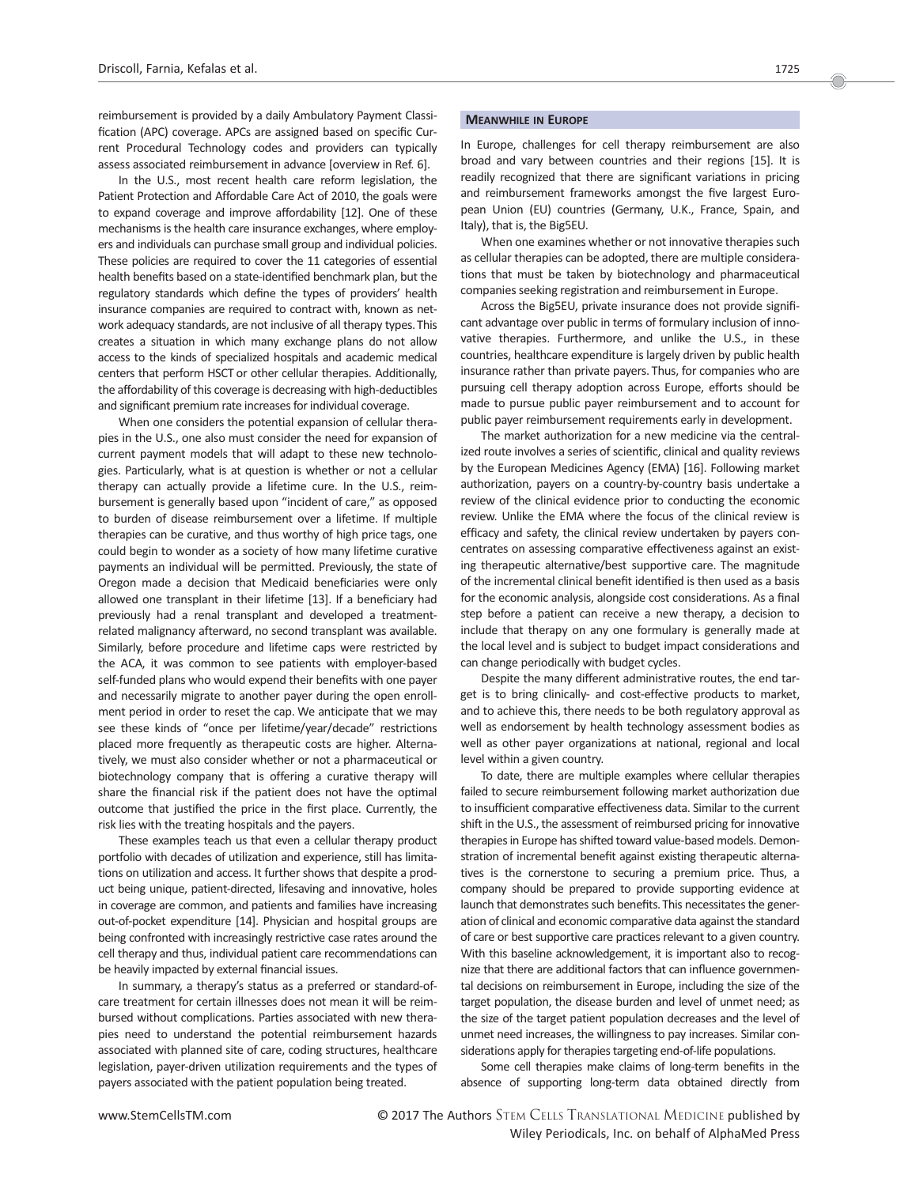reimbursement is provided by a daily Ambulatory Payment Classification (APC) coverage. APCs are assigned based on specific Current Procedural Technology codes and providers can typically assess associated reimbursement in advance [overview in Ref. 6].

In the U.S., most recent health care reform legislation, the Patient Protection and Affordable Care Act of 2010, the goals were to expand coverage and improve affordability [12]. One of these mechanisms is the health care insurance exchanges, where employers and individuals can purchase small group and individual policies. These policies are required to cover the 11 categories of essential health benefits based on a state-identified benchmark plan, but the regulatory standards which define the types of providers' health insurance companies are required to contract with, known as network adequacy standards, are not inclusive of all therapy types. This creates a situation in which many exchange plans do not allow access to the kinds of specialized hospitals and academic medical centers that perform HSCT or other cellular therapies. Additionally, the affordability of this coverage is decreasing with high-deductibles and significant premium rate increases for individual coverage.

When one considers the potential expansion of cellular therapies in the U.S., one also must consider the need for expansion of current payment models that will adapt to these new technologies. Particularly, what is at question is whether or not a cellular therapy can actually provide a lifetime cure. In the U.S., reimbursement is generally based upon "incident of care," as opposed to burden of disease reimbursement over a lifetime. If multiple therapies can be curative, and thus worthy of high price tags, one could begin to wonder as a society of how many lifetime curative payments an individual will be permitted. Previously, the state of Oregon made a decision that Medicaid beneficiaries were only allowed one transplant in their lifetime [13]. If a beneficiary had previously had a renal transplant and developed a treatmentrelated malignancy afterward, no second transplant was available. Similarly, before procedure and lifetime caps were restricted by the ACA, it was common to see patients with employer-based self-funded plans who would expend their benefits with one payer and necessarily migrate to another payer during the open enrollment period in order to reset the cap. We anticipate that we may see these kinds of "once per lifetime/year/decade" restrictions placed more frequently as therapeutic costs are higher. Alternatively, we must also consider whether or not a pharmaceutical or biotechnology company that is offering a curative therapy will share the financial risk if the patient does not have the optimal outcome that justified the price in the first place. Currently, the risk lies with the treating hospitals and the payers.

These examples teach us that even a cellular therapy product portfolio with decades of utilization and experience, still has limitations on utilization and access. It further shows that despite a product being unique, patient-directed, lifesaving and innovative, holes in coverage are common, and patients and families have increasing out-of-pocket expenditure [14]. Physician and hospital groups are being confronted with increasingly restrictive case rates around the cell therapy and thus, individual patient care recommendations can be heavily impacted by external financial issues.

In summary, a therapy's status as a preferred or standard-ofcare treatment for certain illnesses does not mean it will be reimbursed without complications. Parties associated with new therapies need to understand the potential reimbursement hazards associated with planned site of care, coding structures, healthcare legislation, payer-driven utilization requirements and the types of payers associated with the patient population being treated.

## MEANWHILE IN EUROPE

In Europe, challenges for cell therapy reimbursement are also broad and vary between countries and their regions [15]. It is readily recognized that there are significant variations in pricing and reimbursement frameworks amongst the five largest European Union (EU) countries (Germany, U.K., France, Spain, and Italy), that is, the Big5EU.

When one examines whether or not innovative therapies such as cellular therapies can be adopted, there are multiple considerations that must be taken by biotechnology and pharmaceutical companies seeking registration and reimbursement in Europe.

Across the Big5EU, private insurance does not provide significant advantage over public in terms of formulary inclusion of innovative therapies. Furthermore, and unlike the U.S., in these countries, healthcare expenditure is largely driven by public health insurance rather than private payers. Thus, for companies who are pursuing cell therapy adoption across Europe, efforts should be made to pursue public payer reimbursement and to account for public payer reimbursement requirements early in development.

The market authorization for a new medicine via the centralized route involves a series of scientific, clinical and quality reviews by the European Medicines Agency (EMA) [16]. Following market authorization, payers on a country-by-country basis undertake a review of the clinical evidence prior to conducting the economic review. Unlike the EMA where the focus of the clinical review is efficacy and safety, the clinical review undertaken by payers concentrates on assessing comparative effectiveness against an existing therapeutic alternative/best supportive care. The magnitude of the incremental clinical benefit identified is then used as a basis for the economic analysis, alongside cost considerations. As a final step before a patient can receive a new therapy, a decision to include that therapy on any one formulary is generally made at the local level and is subject to budget impact considerations and can change periodically with budget cycles.

Despite the many different administrative routes, the end target is to bring clinically- and cost-effective products to market, and to achieve this, there needs to be both regulatory approval as well as endorsement by health technology assessment bodies as well as other payer organizations at national, regional and local level within a given country.

To date, there are multiple examples where cellular therapies failed to secure reimbursement following market authorization due to insufficient comparative effectiveness data. Similar to the current shift in the U.S., the assessment of reimbursed pricing for innovative therapies in Europe has shifted toward value-based models. Demonstration of incremental benefit against existing therapeutic alternatives is the cornerstone to securing a premium price. Thus, a company should be prepared to provide supporting evidence at launch that demonstrates such benefits.This necessitates the generation of clinical and economic comparative data against the standard of care or best supportive care practices relevant to a given country. With this baseline acknowledgement, it is important also to recognize that there are additional factors that can influence governmental decisions on reimbursement in Europe, including the size of the target population, the disease burden and level of unmet need; as the size of the target patient population decreases and the level of unmet need increases, the willingness to pay increases. Similar considerations apply for therapies targeting end-of-life populations.

Some cell therapies make claims of long-term benefits in the absence of supporting long-term data obtained directly from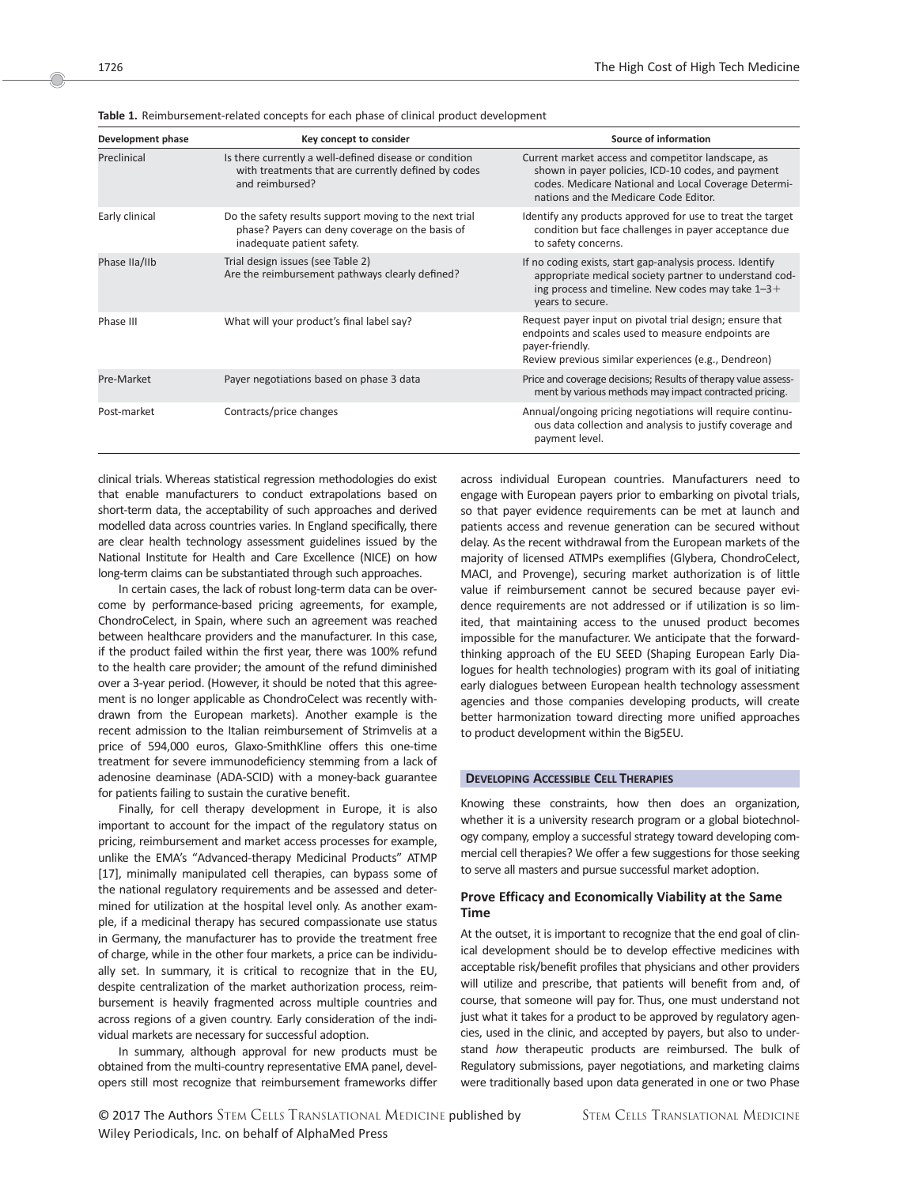| Development phase | Key concept to consider                                                                                                                 | Source of information                                                                                                                                                                                     |
|-------------------|-----------------------------------------------------------------------------------------------------------------------------------------|-----------------------------------------------------------------------------------------------------------------------------------------------------------------------------------------------------------|
| Preclinical       | Is there currently a well-defined disease or condition<br>with treatments that are currently defined by codes<br>and reimbursed?        | Current market access and competitor landscape, as<br>shown in payer policies, ICD-10 codes, and payment<br>codes. Medicare National and Local Coverage Determi-<br>nations and the Medicare Code Editor. |
| Early clinical    | Do the safety results support moving to the next trial<br>phase? Payers can deny coverage on the basis of<br>inadequate patient safety. | Identify any products approved for use to treat the target<br>condition but face challenges in payer acceptance due<br>to safety concerns.                                                                |
| Phase IIa/IIb     | Trial design issues (see Table 2)<br>Are the reimbursement pathways clearly defined?                                                    | If no coding exists, start gap-analysis process. Identify<br>appropriate medical society partner to understand cod-<br>ing process and timeline. New codes may take $1-3+$<br>years to secure.            |
| Phase III         | What will your product's final label say?                                                                                               | Request payer input on pivotal trial design; ensure that<br>endpoints and scales used to measure endpoints are<br>payer-friendly.<br>Review previous similar experiences (e.g., Dendreon)                 |
| Pre-Market        | Payer negotiations based on phase 3 data                                                                                                | Price and coverage decisions; Results of therapy value assess-<br>ment by various methods may impact contracted pricing.                                                                                  |
| Post-market       | Contracts/price changes                                                                                                                 | Annual/ongoing pricing negotiations will require continu-<br>ous data collection and analysis to justify coverage and<br>payment level.                                                                   |

Table 1. Reimbursement-related concepts for each phase of clinical product development

clinical trials. Whereas statistical regression methodologies do exist that enable manufacturers to conduct extrapolations based on short-term data, the acceptability of such approaches and derived modelled data across countries varies. In England specifically, there are clear health technology assessment guidelines issued by the National Institute for Health and Care Excellence (NICE) on how long-term claims can be substantiated through such approaches.

In certain cases, the lack of robust long-term data can be overcome by performance-based pricing agreements, for example, ChondroCelect, in Spain, where such an agreement was reached between healthcare providers and the manufacturer. In this case, if the product failed within the first year, there was 100% refund to the health care provider; the amount of the refund diminished over a 3-year period. (However, it should be noted that this agreement is no longer applicable as ChondroCelect was recently withdrawn from the European markets). Another example is the recent admission to the Italian reimbursement of Strimvelis at a price of 594,000 euros, Glaxo-SmithKline offers this one-time treatment for severe immunodeficiency stemming from a lack of adenosine deaminase (ADA-SCID) with a money-back guarantee for patients failing to sustain the curative benefit.

Finally, for cell therapy development in Europe, it is also important to account for the impact of the regulatory status on pricing, reimbursement and market access processes for example, unlike the EMA's "Advanced-therapy Medicinal Products" ATMP [17], minimally manipulated cell therapies, can bypass some of the national regulatory requirements and be assessed and determined for utilization at the hospital level only. As another example, if a medicinal therapy has secured compassionate use status in Germany, the manufacturer has to provide the treatment free of charge, while in the other four markets, a price can be individually set. In summary, it is critical to recognize that in the EU, despite centralization of the market authorization process, reimbursement is heavily fragmented across multiple countries and across regions of a given country. Early consideration of the individual markets are necessary for successful adoption.

In summary, although approval for new products must be obtained from the multi-country representative EMA panel, developers still most recognize that reimbursement frameworks differ across individual European countries. Manufacturers need to engage with European payers prior to embarking on pivotal trials, so that payer evidence requirements can be met at launch and patients access and revenue generation can be secured without delay. As the recent withdrawal from the European markets of the majority of licensed ATMPs exemplifies (Glybera, ChondroCelect, MACI, and Provenge), securing market authorization is of little value if reimbursement cannot be secured because payer evidence requirements are not addressed or if utilization is so limited, that maintaining access to the unused product becomes impossible for the manufacturer. We anticipate that the forwardthinking approach of the EU SEED (Shaping European Early Dialogues for health technologies) program with its goal of initiating early dialogues between European health technology assessment agencies and those companies developing products, will create better harmonization toward directing more unified approaches to product development within the Big5EU.

## DEVELOPING ACCESSIBLE CELL THERAPIES

Knowing these constraints, how then does an organization, whether it is a university research program or a global biotechnology company, employ a successful strategy toward developing commercial cell therapies? We offer a few suggestions for those seeking to serve all masters and pursue successful market adoption.

# Prove Efficacy and Economically Viability at the Same Time

At the outset, it is important to recognize that the end goal of clinical development should be to develop effective medicines with acceptable risk/benefit profiles that physicians and other providers will utilize and prescribe, that patients will benefit from and, of course, that someone will pay for. Thus, one must understand not just what it takes for a product to be approved by regulatory agencies, used in the clinic, and accepted by payers, but also to understand how therapeutic products are reimbursed. The bulk of Regulatory submissions, payer negotiations, and marketing claims were traditionally based upon data generated in one or two Phase

Oc 2017 The Authors STEM CELLS TRANSLATIONAL MEDICINE published by Wiley Periodicals, Inc. on behalf of AlphaMed Press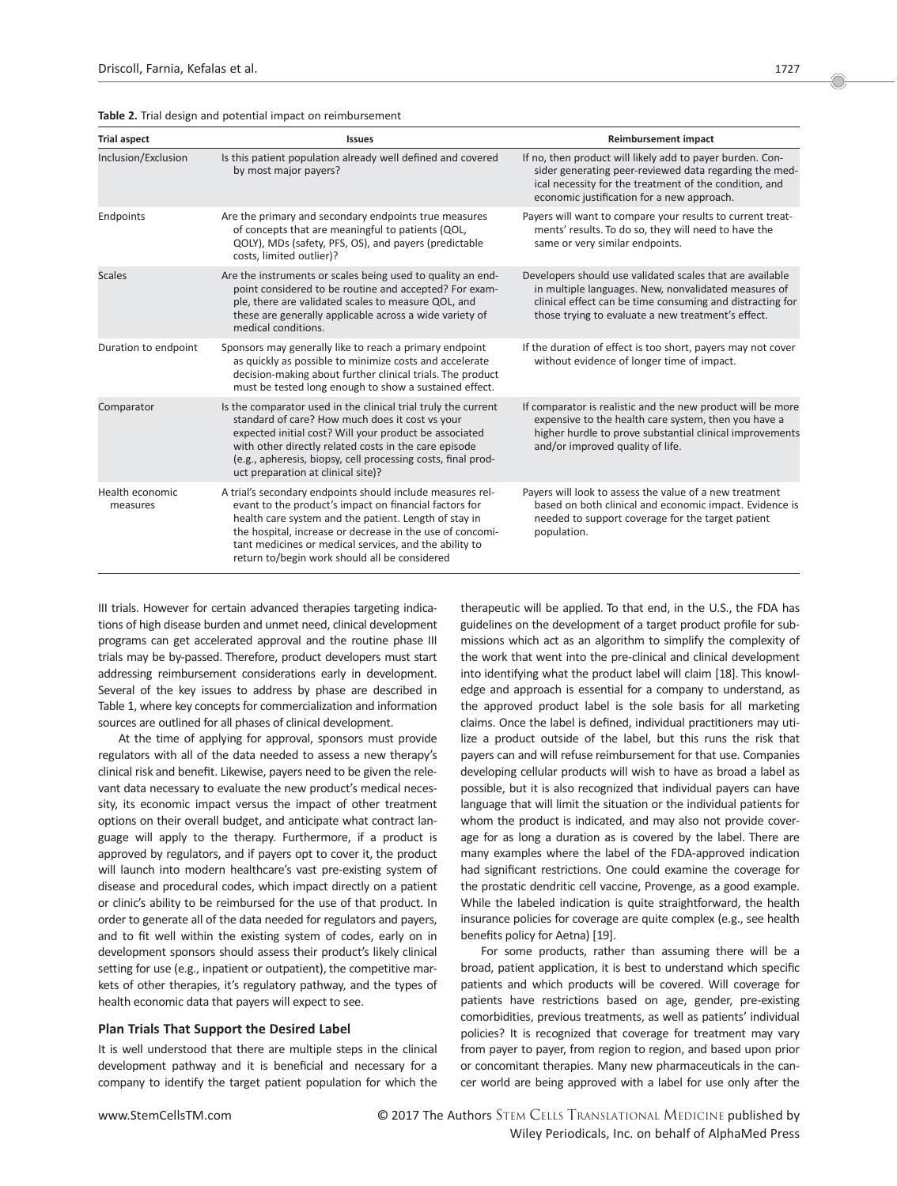| <b>Trial aspect</b>         | <b>Issues</b>                                                                                                                                                                                                                                                                                                                                         | <b>Reimbursement impact</b>                                                                                                                                                                                                          |
|-----------------------------|-------------------------------------------------------------------------------------------------------------------------------------------------------------------------------------------------------------------------------------------------------------------------------------------------------------------------------------------------------|--------------------------------------------------------------------------------------------------------------------------------------------------------------------------------------------------------------------------------------|
| Inclusion/Exclusion         | Is this patient population already well defined and covered<br>by most major payers?                                                                                                                                                                                                                                                                  | If no, then product will likely add to payer burden. Con-<br>sider generating peer-reviewed data regarding the med-<br>ical necessity for the treatment of the condition, and<br>economic justification for a new approach.          |
| Endpoints                   | Are the primary and secondary endpoints true measures<br>of concepts that are meaningful to patients (QOL,<br>QOLY), MDs (safety, PFS, OS), and payers (predictable<br>costs, limited outlier)?                                                                                                                                                       | Payers will want to compare your results to current treat-<br>ments' results. To do so, they will need to have the<br>same or very similar endpoints.                                                                                |
| <b>Scales</b>               | Are the instruments or scales being used to quality an end-<br>point considered to be routine and accepted? For exam-<br>ple, there are validated scales to measure QOL, and<br>these are generally applicable across a wide variety of<br>medical conditions.                                                                                        | Developers should use validated scales that are available<br>in multiple languages. New, nonvalidated measures of<br>clinical effect can be time consuming and distracting for<br>those trying to evaluate a new treatment's effect. |
| Duration to endpoint        | Sponsors may generally like to reach a primary endpoint<br>as quickly as possible to minimize costs and accelerate<br>decision-making about further clinical trials. The product<br>must be tested long enough to show a sustained effect.                                                                                                            | If the duration of effect is too short, payers may not cover<br>without evidence of longer time of impact.                                                                                                                           |
| Comparator                  | Is the comparator used in the clinical trial truly the current<br>standard of care? How much does it cost vs your<br>expected initial cost? Will your product be associated<br>with other directly related costs in the care episode<br>(e.g., apheresis, biopsy, cell processing costs, final prod-<br>uct preparation at clinical site)?            | If comparator is realistic and the new product will be more<br>expensive to the health care system, then you have a<br>higher hurdle to prove substantial clinical improvements<br>and/or improved quality of life.                  |
| Health economic<br>measures | A trial's secondary endpoints should include measures rel-<br>evant to the product's impact on financial factors for<br>health care system and the patient. Length of stay in<br>the hospital, increase or decrease in the use of concomi-<br>tant medicines or medical services, and the ability to<br>return to/begin work should all be considered | Payers will look to assess the value of a new treatment<br>based on both clinical and economic impact. Evidence is<br>needed to support coverage for the target patient<br>population.                                               |

Table 2. Trial design and potential impact on reimbursement

III trials. However for certain advanced therapies targeting indications of high disease burden and unmet need, clinical development programs can get accelerated approval and the routine phase III trials may be by-passed. Therefore, product developers must start addressing reimbursement considerations early in development. Several of the key issues to address by phase are described in Table 1, where key concepts for commercialization and information sources are outlined for all phases of clinical development.

At the time of applying for approval, sponsors must provide regulators with all of the data needed to assess a new therapy's clinical risk and benefit. Likewise, payers need to be given the relevant data necessary to evaluate the new product's medical necessity, its economic impact versus the impact of other treatment options on their overall budget, and anticipate what contract language will apply to the therapy. Furthermore, if a product is approved by regulators, and if payers opt to cover it, the product will launch into modern healthcare's vast pre-existing system of disease and procedural codes, which impact directly on a patient or clinic's ability to be reimbursed for the use of that product. In order to generate all of the data needed for regulators and payers, and to fit well within the existing system of codes, early on in development sponsors should assess their product's likely clinical setting for use (e.g., inpatient or outpatient), the competitive markets of other therapies, it's regulatory pathway, and the types of health economic data that payers will expect to see.

## Plan Trials That Support the Desired Label

It is well understood that there are multiple steps in the clinical development pathway and it is beneficial and necessary for a company to identify the target patient population for which the therapeutic will be applied. To that end, in the U.S., the FDA has guidelines on the development of a target product profile for submissions which act as an algorithm to simplify the complexity of the work that went into the pre-clinical and clinical development into identifying what the product label will claim [18]. This knowledge and approach is essential for a company to understand, as the approved product label is the sole basis for all marketing claims. Once the label is defined, individual practitioners may utilize a product outside of the label, but this runs the risk that payers can and will refuse reimbursement for that use. Companies developing cellular products will wish to have as broad a label as possible, but it is also recognized that individual payers can have language that will limit the situation or the individual patients for whom the product is indicated, and may also not provide coverage for as long a duration as is covered by the label. There are many examples where the label of the FDA-approved indication had significant restrictions. One could examine the coverage for the prostatic dendritic cell vaccine, Provenge, as a good example. While the labeled indication is quite straightforward, the health insurance policies for coverage are quite complex (e.g., see health benefits policy for Aetna) [19].

For some products, rather than assuming there will be a broad, patient application, it is best to understand which specific patients and which products will be covered. Will coverage for patients have restrictions based on age, gender, pre-existing comorbidities, previous treatments, as well as patients' individual policies? It is recognized that coverage for treatment may vary from payer to payer, from region to region, and based upon prior or concomitant therapies. Many new pharmaceuticals in the cancer world are being approved with a label for use only after the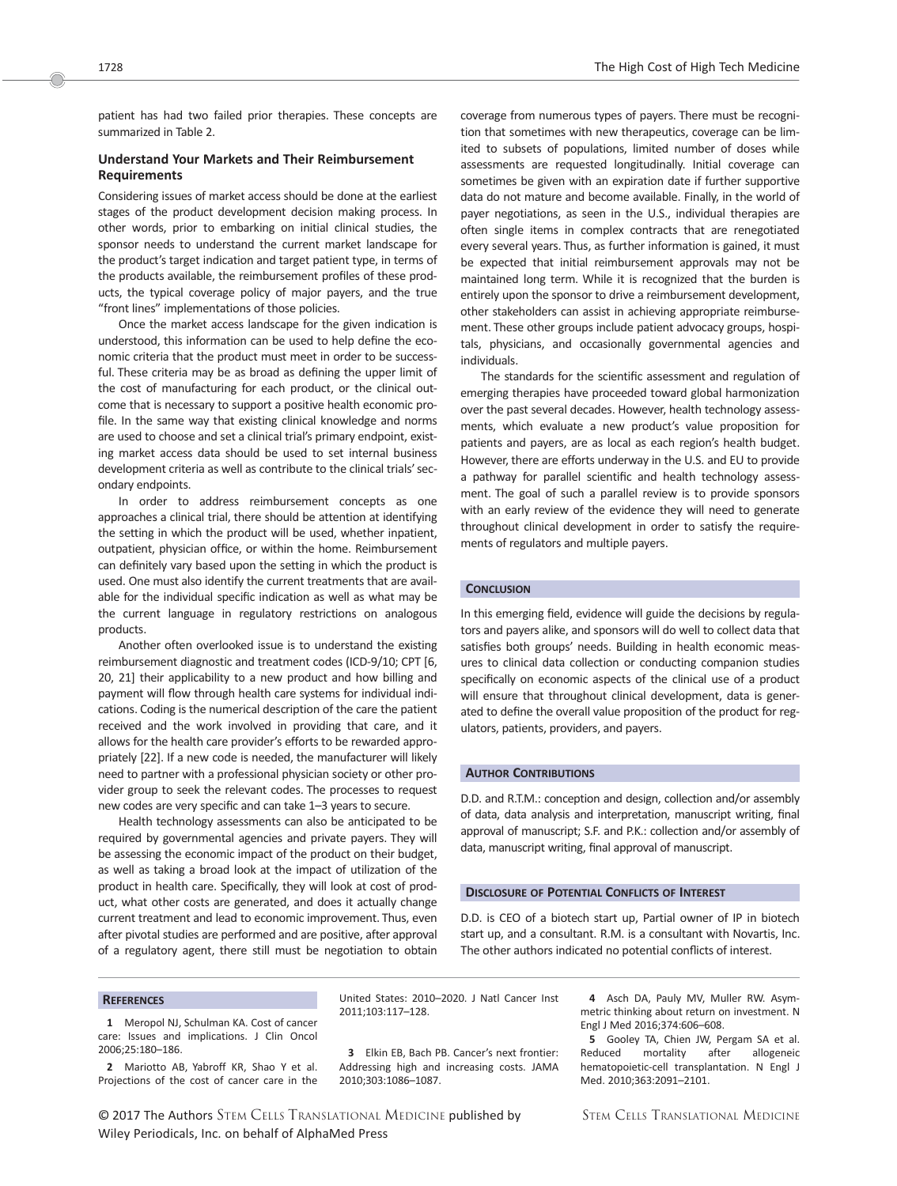patient has had two failed prior therapies. These concepts are summarized in Table 2.

# Understand Your Markets and Their Reimbursement **Requirements**

Considering issues of market access should be done at the earliest stages of the product development decision making process. In other words, prior to embarking on initial clinical studies, the sponsor needs to understand the current market landscape for the product's target indication and target patient type, in terms of the products available, the reimbursement profiles of these products, the typical coverage policy of major payers, and the true "front lines" implementations of those policies.

Once the market access landscape for the given indication is understood, this information can be used to help define the economic criteria that the product must meet in order to be successful. These criteria may be as broad as defining the upper limit of the cost of manufacturing for each product, or the clinical outcome that is necessary to support a positive health economic profile. In the same way that existing clinical knowledge and norms are used to choose and set a clinical trial's primary endpoint, existing market access data should be used to set internal business development criteria as well as contribute to the clinical trials' secondary endpoints.

In order to address reimbursement concepts as one approaches a clinical trial, there should be attention at identifying the setting in which the product will be used, whether inpatient, outpatient, physician office, or within the home. Reimbursement can definitely vary based upon the setting in which the product is used. One must also identify the current treatments that are available for the individual specific indication as well as what may be the current language in regulatory restrictions on analogous products.

Another often overlooked issue is to understand the existing reimbursement diagnostic and treatment codes (ICD-9/10; CPT [6, 20, 21] their applicability to a new product and how billing and payment will flow through health care systems for individual indications. Coding is the numerical description of the care the patient received and the work involved in providing that care, and it allows for the health care provider's efforts to be rewarded appropriately [22]. If a new code is needed, the manufacturer will likely need to partner with a professional physician society or other provider group to seek the relevant codes. The processes to request new codes are very specific and can take 1–3 years to secure.

Health technology assessments can also be anticipated to be required by governmental agencies and private payers. They will be assessing the economic impact of the product on their budget, as well as taking a broad look at the impact of utilization of the product in health care. Specifically, they will look at cost of product, what other costs are generated, and does it actually change current treatment and lead to economic improvement. Thus, even after pivotal studies are performed and are positive, after approval of a regulatory agent, there still must be negotiation to obtain coverage from numerous types of payers. There must be recognition that sometimes with new therapeutics, coverage can be limited to subsets of populations, limited number of doses while assessments are requested longitudinally. Initial coverage can sometimes be given with an expiration date if further supportive data do not mature and become available. Finally, in the world of payer negotiations, as seen in the U.S., individual therapies are often single items in complex contracts that are renegotiated every several years. Thus, as further information is gained, it must be expected that initial reimbursement approvals may not be maintained long term. While it is recognized that the burden is entirely upon the sponsor to drive a reimbursement development, other stakeholders can assist in achieving appropriate reimbursement. These other groups include patient advocacy groups, hospitals, physicians, and occasionally governmental agencies and individuals.

The standards for the scientific assessment and regulation of emerging therapies have proceeded toward global harmonization over the past several decades. However, health technology assessments, which evaluate a new product's value proposition for patients and payers, are as local as each region's health budget. However, there are efforts underway in the U.S. and EU to provide a pathway for parallel scientific and health technology assessment. The goal of such a parallel review is to provide sponsors with an early review of the evidence they will need to generate throughout clinical development in order to satisfy the requirements of regulators and multiple payers.

#### **CONCLUSION**

In this emerging field, evidence will guide the decisions by regulators and payers alike, and sponsors will do well to collect data that satisfies both groups' needs. Building in health economic measures to clinical data collection or conducting companion studies specifically on economic aspects of the clinical use of a product will ensure that throughout clinical development, data is generated to define the overall value proposition of the product for regulators, patients, providers, and payers.

### AUTHOR CONTRIBUTIONS

D.D. and R.T.M.: conception and design, collection and/or assembly of data, data analysis and interpretation, manuscript writing, final approval of manuscript; S.F. and P.K.: collection and/or assembly of data, manuscript writing, final approval of manuscript.

#### DISCLOSURE OF POTENTIAL CONFLICTS OF INTEREST

D.D. is CEO of a biotech start up, Partial owner of IP in biotech start up, and a consultant. R.M. is a consultant with Novartis, Inc. The other authors indicated no potential conflicts of interest.

#### **REFERENCES**

1 Meropol NJ, Schulman KA. Cost of cancer care: Issues and implications. J Clin Oncol 2006;25:180–186.

2 Mariotto AB, Yabroff KR, Shao Y et al. Projections of the cost of cancer care in the

United States: 2010–2020. J Natl Cancer Inst 2011;103:117–128.

3 Elkin EB, Bach PB. Cancer's next frontier: Addressing high and increasing costs. JAMA 2010;303:1086–1087.

4 Asch DA, Pauly MV, Muller RW. Asymmetric thinking about return on investment. N Engl J Med 2016;374:606–608.

5 Gooley TA, Chien JW, Pergam SA et al. Reduced mortality after allogeneic hematopoietic-cell transplantation. N Engl J Med. 2010;363:2091–2101.

Oc 2017 The Authors STEM CELLS TRANSLATIONAL MEDICINE published by Wiley Periodicals, Inc. on behalf of AlphaMed Press